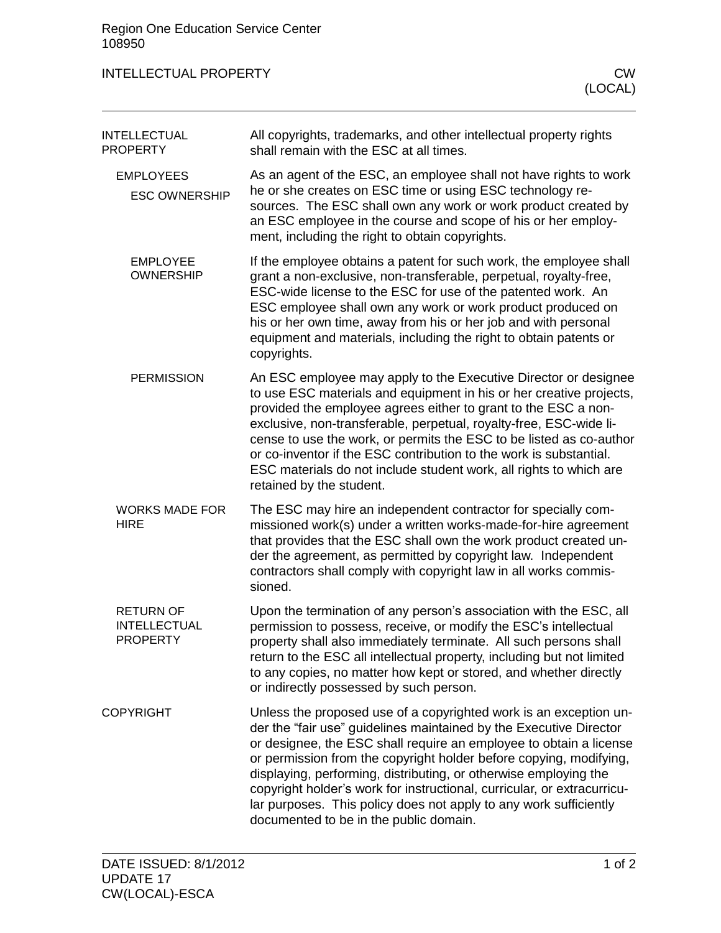| <b>INTELLECTUAL PROPERTY</b> | CW |
|------------------------------|----|
|------------------------------|----|

| <b>INTELLECTUAL</b><br><b>PROPERTY</b>                     | All copyrights, trademarks, and other intellectual property rights<br>shall remain with the ESC at all times.                                                                                                                                                                                                                                                                                                                                                                                                                                     |
|------------------------------------------------------------|---------------------------------------------------------------------------------------------------------------------------------------------------------------------------------------------------------------------------------------------------------------------------------------------------------------------------------------------------------------------------------------------------------------------------------------------------------------------------------------------------------------------------------------------------|
| <b>EMPLOYEES</b><br><b>ESC OWNERSHIP</b>                   | As an agent of the ESC, an employee shall not have rights to work<br>he or she creates on ESC time or using ESC technology re-<br>sources. The ESC shall own any work or work product created by<br>an ESC employee in the course and scope of his or her employ-<br>ment, including the right to obtain copyrights.                                                                                                                                                                                                                              |
| <b>EMPLOYEE</b><br><b>OWNERSHIP</b>                        | If the employee obtains a patent for such work, the employee shall<br>grant a non-exclusive, non-transferable, perpetual, royalty-free,<br>ESC-wide license to the ESC for use of the patented work. An<br>ESC employee shall own any work or work product produced on<br>his or her own time, away from his or her job and with personal<br>equipment and materials, including the right to obtain patents or<br>copyrights.                                                                                                                     |
| <b>PERMISSION</b>                                          | An ESC employee may apply to the Executive Director or designee<br>to use ESC materials and equipment in his or her creative projects,<br>provided the employee agrees either to grant to the ESC a non-<br>exclusive, non-transferable, perpetual, royalty-free, ESC-wide li-<br>cense to use the work, or permits the ESC to be listed as co-author<br>or co-inventor if the ESC contribution to the work is substantial.<br>ESC materials do not include student work, all rights to which are<br>retained by the student.                     |
| <b>WORKS MADE FOR</b><br><b>HIRE</b>                       | The ESC may hire an independent contractor for specially com-<br>missioned work(s) under a written works-made-for-hire agreement<br>that provides that the ESC shall own the work product created un-<br>der the agreement, as permitted by copyright law. Independent<br>contractors shall comply with copyright law in all works commis-<br>sioned.                                                                                                                                                                                             |
| <b>RETURN OF</b><br><b>INTELLECTUAL</b><br><b>PROPERTY</b> | Upon the termination of any person's association with the ESC, all<br>permission to possess, receive, or modify the ESC's intellectual<br>property shall also immediately terminate. All such persons shall<br>return to the ESC all intellectual property, including but not limited<br>to any copies, no matter how kept or stored, and whether directly<br>or indirectly possessed by such person.                                                                                                                                             |
| <b>COPYRIGHT</b>                                           | Unless the proposed use of a copyrighted work is an exception un-<br>der the "fair use" guidelines maintained by the Executive Director<br>or designee, the ESC shall require an employee to obtain a license<br>or permission from the copyright holder before copying, modifying,<br>displaying, performing, distributing, or otherwise employing the<br>copyright holder's work for instructional, curricular, or extracurricu-<br>lar purposes. This policy does not apply to any work sufficiently<br>documented to be in the public domain. |